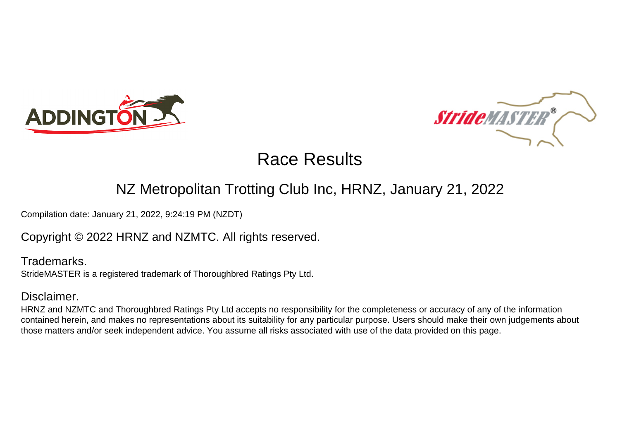



## NZ Metropolitan Trotting Club Inc, HRNZ, January 21, 2022

Compilation date: January 21, 2022, 9:24:19 PM (NZDT)

### Copyright © 2022 HRNZ and NZMTC. All rights reserved.

Trademarks. StrideMASTER is a registered trademark of Thoroughbred Ratings Pty Ltd.

### Disclaimer.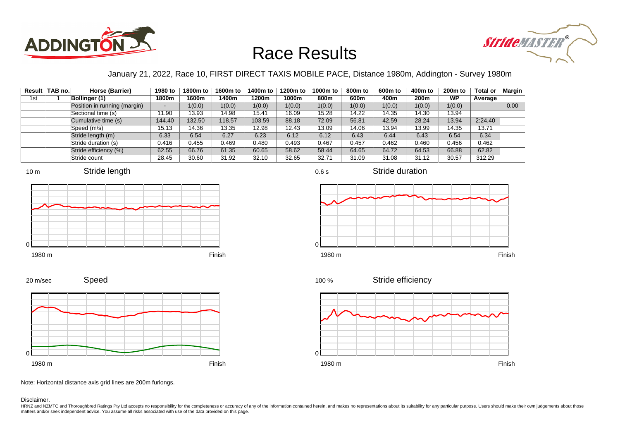



### January 21, 2022, Race 10, FIRST DIRECT TAXIS MOBILE PACE, Distance 1980m, Addington - Survey 1980m

0.6 s

|     | Result   TAB no. | Horse (Barrier)              | 1980 to                  | 1800m to | 1600m to | 1400m to | 1200m to | 1000m to | 800m to | 600 <sub>m</sub> to | 400m to          | 200 <sub>m</sub> to | <b>Total or</b> | Margin |
|-----|------------------|------------------------------|--------------------------|----------|----------|----------|----------|----------|---------|---------------------|------------------|---------------------|-----------------|--------|
| 1st |                  | Bollinger (1)                | 1800m                    | 1600m    | 1400m    | 1200m    | 1000m    | 800m     | 600m    | 400m                | 200 <sub>m</sub> | <b>WP</b>           | Average         |        |
|     |                  | Position in running (margin) | $\overline{\phantom{a}}$ | 1(0.0)   | 1(0.0)   | 1(0.0)   | 1(0.0)   | 1(0.0)   | 1(0.0)  | 1(0.0)              | 1(0.0)           | 1(0.0)              |                 | 0.00   |
|     |                  | Sectional time (s)           | 11.90                    | 13.93    | 14.98    | 15.41    | 16.09    | 15.28    | 14.22   | 14.35               | 14.30            | 13.94               |                 |        |
|     |                  | Cumulative time (s)          | 144.40                   | 132.50   | 118.57   | 103.59   | 88.18    | 72.09    | 56.81   | 42.59               | 28.24            | 13.94               | 2:24.40         |        |
|     |                  | Speed (m/s)                  | 15.13                    | 14.36    | 13.35    | 12.98    | 12.43    | 13.09    | 14.06   | 13.94               | 13.99            | 14.35               | 13.71           |        |
|     |                  | Stride length (m)            | 6.33                     | 6.54     | 6.27     | 6.23     | 6.12     | 6.12     | 6.43    | 6.44                | 6.43             | 6.54                | 6.34            |        |
|     |                  | Stride duration (s)          | 0.416                    | 0.455    | 0.469    | 0.480    | 0.493    | 0.467    | 0.457   | 0.462               | 0.460            | 0.456               | 0.462           |        |
|     |                  | Stride efficiency (%)        | 62.55                    | 66.76    | 61.35    | 60.65    | 58.62    | 58.44    | 64.65   | 64.72               | 64.53            | 66.88               | 62.82           |        |
|     |                  | Stride count                 | 28.45                    | 30.60    | 31.92    | 32.10    | 32.65    | 32.71    | 31.09   | 31.08               | 31.12            | 30.57               | 312.29          |        |







Stride duration











Note: Horizontal distance axis grid lines are 200m furlongs.

Disclaimer.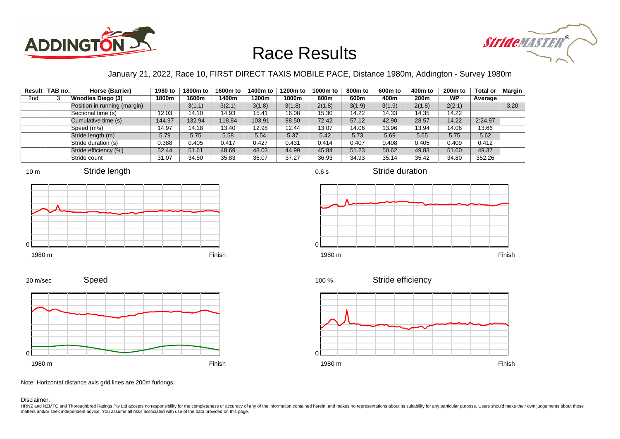



### January 21, 2022, Race 10, FIRST DIRECT TAXIS MOBILE PACE, Distance 1980m, Addington - Survey 1980m

0.6 s

|                 | Result TAB no. | Horse (Barrier)              | 1980 to                  | 1800m to | 1600m to | 1400m to | 1200m to | 1000m to | 800m to | 600 <sub>m</sub> to | 400m to | 200 <sub>m</sub> to | <b>Total or</b> | Margin |
|-----------------|----------------|------------------------------|--------------------------|----------|----------|----------|----------|----------|---------|---------------------|---------|---------------------|-----------------|--------|
| 2 <sub>nd</sub> |                | Woodlea Diego (3)            | 1800m                    | 1600m    | 1400m    | 1200m    | 1000m    | 800m     | 600m    | 400m                | 200m    | <b>WP</b>           | Average         |        |
|                 |                | Position in running (margin) | $\overline{\phantom{0}}$ | 3(1.1)   | 3(2.1)   | 3(1.8)   | 3(1.8)   | 2(1.8)   | 3(1.9)  | 3(1.9)              | 2(1.8)  | 2(2.1)              |                 | 3.20   |
|                 |                | Sectional time (s)           | 12.03                    | 14.10    | 14.93    | 15.41    | 16.08    | 15.30    | 14.22   | 14.33               | 14.35   | 14.22               |                 |        |
|                 |                | Cumulative time (s)          | 144.97                   | 132.94   | 118.84   | 103.91   | 88.50    | 72.42    | 57.12   | 42.90               | 28.57   | 14.22               | 2:24.97         |        |
|                 |                | Speed (m/s)                  | 14.97                    | 14.18    | 13.40    | 12.98    | 12.44    | 13.07    | 14.06   | 13.96               | 13.94   | 14.06               | 13.66           |        |
|                 |                | Stride length (m)            | 5.79                     | 5.75     | 5.58     | 5.54     | 5.37     | 5.42     | 5.73    | 5.69                | 5.65    | 5.75                | 5.62            |        |
|                 |                | Stride duration (s)          | 0.388                    | 0.405    | 0.417    | 0.427    | 0.431    | 0.414    | 0.407   | 0.408               | 0.405   | 0.409               | 0.412           |        |
|                 |                | Stride efficiency (%)        | 52.44                    | 51.61    | 48.69    | 48.03    | 44.99    | 45.84    | 51.23   | 50.62               | 49.83   | 51.60               | 49.37           |        |
|                 |                | Stride count                 | 31.07                    | 34.80    | 35.83    | 36.07    | 37.27    | 36.93    | 34.93   | 35.14               | 35.42   | 34.80               | 352.26          |        |







Stride duration



Stride efficiency 100 %



Speed 20 m/sec



Note: Horizontal distance axis grid lines are 200m furlongs.

#### Disclaimer.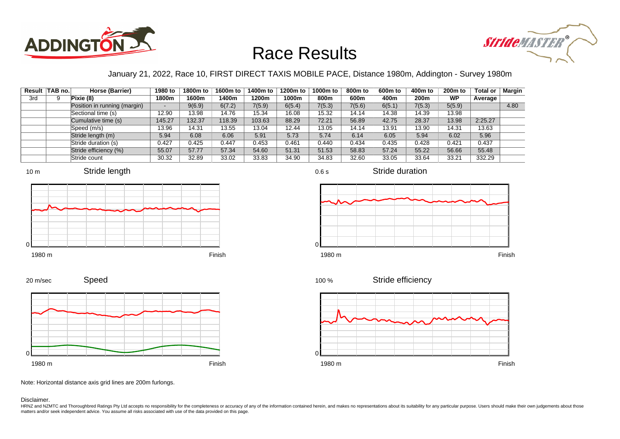



### January 21, 2022, Race 10, FIRST DIRECT TAXIS MOBILE PACE, Distance 1980m, Addington - Survey 1980m

|     | Result TAB no. | Horse (Barrier)              | 1980 to                  | 1800m to | 1600m to | 1400m to | 1200m to | 1000m to | 800m to | 600 <sub>m</sub> to | 400m to | 200 <sub>m</sub> to | <b>Total or</b> | Margin |
|-----|----------------|------------------------------|--------------------------|----------|----------|----------|----------|----------|---------|---------------------|---------|---------------------|-----------------|--------|
| 3rd |                | Pixie (8)                    | 1800m                    | 1600m    | 1400m    | 1200m    | 1000m    | 800m     | 600m    | 400m                | 200m    | <b>WP</b>           | Average         |        |
|     |                | Position in running (margin) | $\overline{\phantom{0}}$ | 9(6.9)   | 6(7.2)   | 7(5.9)   | 6(5.4)   | 7(5.3)   | 7(5.6)  | 6(5.1)              | 7(5.3)  | 5(5.9)              |                 | 4.80   |
|     |                | Sectional time (s)           | 12.90                    | 13.98    | 14.76    | 15.34    | 16.08    | 15.32    | 14.14   | 14.38               | 14.39   | 13.98               |                 |        |
|     |                | Cumulative time (s)          | 145.27                   | 132.37   | 118.39   | 103.63   | 88.29    | 72.21    | 56.89   | 42.75               | 28.37   | 13.98               | 2:25.27         |        |
|     |                | Speed (m/s)                  | 13.96                    | 14.31    | 13.55    | 13.04    | 12.44    | 13.05    | 14.14   | 13.91               | 13.90   | 14.31               | 13.63           |        |
|     |                | Stride length (m)            | 5.94                     | 6.08     | 6.06     | 5.91     | 5.73     | 5.74     | 6.14    | 6.05                | 5.94    | 6.02                | 5.96            |        |
|     |                | Stride duration (s)          | 0.427                    | 0.425    | 0.447    | 0.453    | 0.461    | 0.440    | 0.434   | 0.435               | 0.428   | 0.421               | 0.437           |        |
|     |                | Stride efficiency (%)        | 55.07                    | 57.77    | 57.34    | 54.60    | 51.31    | 51.53    | 58.83   | 57.24               | 55.22   | 56.66               | 55.48           |        |
|     |                | Stride count                 | 30.32                    | 32.89    | 33.02    | 33.83    | 34.90    | 34.83    | 32.60   | 33.05               | 33.64   | 33.21               | 332.29          |        |







Stride duration



0.6 s

 $\Omega$ 



Stride efficiency 100 %



Speed 20 m/sec



Note: Horizontal distance axis grid lines are 200m furlongs.

#### Disclaimer.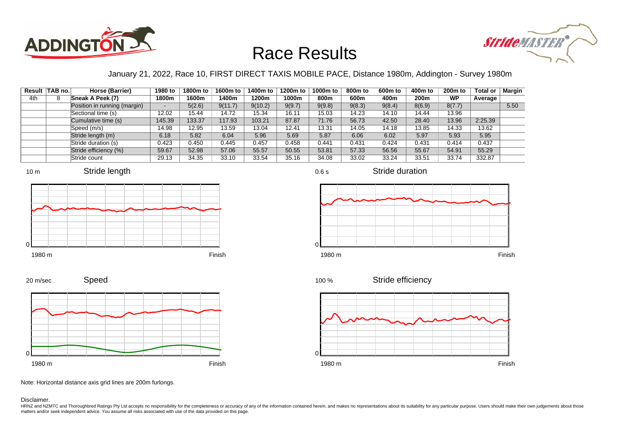



### January 21, 2022, Race 10, FIRST DIRECT TAXIS MOBILE PACE, Distance 1980m, Addington - Survey 1980m

|     | Result TAB no. | Horse (Barrier)              | 1980 to                  | 1800m to | 1600m to | 1400m to | 1200m to | 1000m to | 800m to | 600 <sub>m</sub> to | 400m to | 200 <sub>m</sub> to | <b>Total or</b> | Margin |
|-----|----------------|------------------------------|--------------------------|----------|----------|----------|----------|----------|---------|---------------------|---------|---------------------|-----------------|--------|
| 4th |                | Sneak A Peek (7)             | 1800m                    | 1600m    | 1400m    | 1200m    | 1000m    | 800m     | 600m    | 400m                | 200m    | <b>WP</b>           | Average         |        |
|     |                | Position in running (margin) | $\overline{\phantom{0}}$ | 5(2.6)   | 9(11.7)  | 9(10.2)  | 9(9.7)   | 9(9.8)   | 9(8.3)  | 9(8.4)              | 8(6.9)  | 8(7.7)              |                 | 5.50   |
|     |                | Sectional time (s)           | 12.02                    | 15.44    | 14.72    | 15.34    | 16.11    | 15.03    | 14.23   | 14.10               | 14.44   | 13.96               |                 |        |
|     |                | Cumulative time (s)          | 145.39                   | 133.37   | 117.93   | 103.21   | 87.87    | 71.76    | 56.73   | 42.50               | 28.40   | 13.96               | 2:25.39         |        |
|     |                | Speed (m/s)                  | 14.98                    | 12.95    | 13.59    | 13.04    | 12.41    | 13.31    | 14.05   | 14.18               | 13.85   | 14.33               | 13.62           |        |
|     |                | Stride length (m)            | 6.18                     | 5.82     | 6.04     | 5.96     | 5.69     | 5.87     | 6.06    | 6.02                | 5.97    | 5.93                | 5.95            |        |
|     |                | Stride duration (s)          | 0.423                    | 0.450    | 0.445    | 0.457    | 0.458    | 0.441    | 0.431   | 0.424               | 0.431   | 0.414               | 0.437           |        |
|     |                | Stride efficiency (%)        | 59.67                    | 52.98    | 57.06    | 55.57    | 50.55    | 53.81    | 57.33   | 56.56               | 55.67   | 54.91               | 55.29           |        |
|     |                | Stride count                 | 29.13                    | 34.35    | 33.10    | 33.54    | 35.16    | 34.08    | 33.02   | 33.24               | 33.51   | 33.74               | 332.87          |        |













Speed 20 m/sec



Note: Horizontal distance axis grid lines are 200m furlongs.

#### Disclaimer.

HRNZ and NZMTC and Thoroughbred Ratings Pty Ltd accepts no responsibility for the completeness or accuracy of any of the information contained herein, and makes no representations about its suitability for any particular p matters and/or seek independent advice. You assume all risks associated with use of the data provided on this page.

0.6 s

Stride duration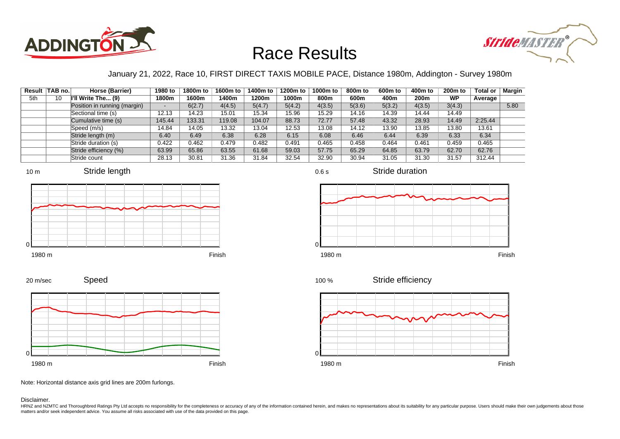



### January 21, 2022, Race 10, FIRST DIRECT TAXIS MOBILE PACE, Distance 1980m, Addington - Survey 1980m

|     | Result TAB no. | Horse (Barrier)              | 1980 to                  | 1800m to | 1600m to | 1400m to | 1200m to | 1000m to | 800m to | 600 <sub>m</sub> to | 400m to | 200 <sub>m</sub> to | <b>Total or</b> | Margin |
|-----|----------------|------------------------------|--------------------------|----------|----------|----------|----------|----------|---------|---------------------|---------|---------------------|-----------------|--------|
| 5th | 10             | I'll Write The (9)           | 1800m                    | 1600m    | 1400m    | 1200m    | 1000m    | 800m     | 600m    | 400m                | 200m    | <b>WP</b>           | Average         |        |
|     |                | Position in running (margin) | $\overline{\phantom{0}}$ | 6(2.7)   | 4(4.5)   | 5(4.7)   | 5(4.2)   | 4(3.5)   | 5(3.6)  | 5(3.2)              | 4(3.5)  | 3(4.3)              |                 | 5.80   |
|     |                | Sectional time (s)           | 12.13                    | 14.23    | 15.01    | 15.34    | 15.96    | 15.29    | 14.16   | 14.39               | 14.44   | 14.49               |                 |        |
|     |                | Cumulative time (s)          | 145.44                   | 133.31   | 119.08   | 104.07   | 88.73    | 72.77    | 57.48   | 43.32               | 28.93   | 14.49               | 2:25.44         |        |
|     |                | Speed (m/s)                  | 14.84                    | 14.05    | 13.32    | 13.04    | 12.53    | 13.08    | 14.12   | 13.90               | 13.85   | 13.80               | 13.61           |        |
|     |                | Stride length (m)            | 6.40                     | 6.49     | 6.38     | 6.28     | 6.15     | 6.08     | 6.46    | 6.44                | 6.39    | 6.33                | 6.34            |        |
|     |                | Stride duration (s)          | 0.422                    | 0.462    | 0.479    | 0.482    | 0.491    | 0.465    | 0.458   | 0.464               | 0.461   | 0.459               | 0.465           |        |
|     |                | Stride efficiency (%)        | 63.99                    | 65.86    | 63.55    | 61.68    | 59.03    | 57.75    | 65.29   | 64.85               | 63.79   | 62.70               | 62.76           |        |
|     |                | Stride count                 | 28.13                    | 30.81    | 31.36    | 31.84    | 32.54    | 32.90    | 30.94   | 31.05               | 31.30   | 31.57               | 312.44          |        |







Stride duration









Note: Horizontal distance axis grid lines are 200m furlongs.

Disclaimer.

HRNZ and NZMTC and Thoroughbred Ratings Pty Ltd accepts no responsibility for the completeness or accuracy of any of the information contained herein, and makes no representations about its suitability for any particular p matters and/or seek independent advice. You assume all risks associated with use of the data provided on this page.

0.6 s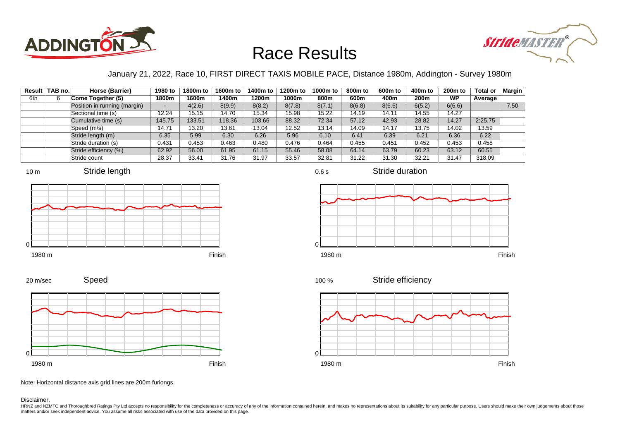



### January 21, 2022, Race 10, FIRST DIRECT TAXIS MOBILE PACE, Distance 1980m, Addington - Survey 1980m

|     | Result TAB no. | Horse (Barrier)              | 1980 to | 1800m to | 1600m to | 1400m to | 1200m to | 1000m to | 800 <sub>m</sub> to | 600m to | 400m to | 200 <sub>m</sub> to | <b>Total or</b> | Margin |
|-----|----------------|------------------------------|---------|----------|----------|----------|----------|----------|---------------------|---------|---------|---------------------|-----------------|--------|
| 6th |                | Come Together (5)            | 1800m   | 1600m    | 1400m    | 1200m    | 1000m    | 800m     | 600m                | 400m    | 200m    | <b>WP</b>           | Average         |        |
|     |                | Position in running (margin) | -       | 4(2.6)   | 8(9.9)   | 8(8.2)   | 8(7.8)   | 8(7.1)   | 8(6.8)              | 8(6.6)  | 6(5.2)  | 6(6.6)              |                 | 7.50   |
|     |                | Sectional time (s)           | 12.24   | 15.15    | 14.70    | 15.34    | 15.98    | 15.22    | 14.19               | 14.11   | 14.55   | 14.27               |                 |        |
|     |                | Cumulative time (s)          | 145.75  | 133.51   | 118.36   | 103.66   | 88.32    | 72.34    | 57.12               | 42.93   | 28.82   | 14.27               | 2:25.75         |        |
|     |                | Speed (m/s)                  | 14.71   | 13.20    | 13.61    | 13.04    | 12.52    | 13.14    | 14.09               | 14.17   | 13.75   | 14.02               | 13.59           |        |
|     |                | Stride length (m)            | 6.35    | 5.99     | 6.30     | 6.26     | 5.96     | 6.10     | 6.41                | 6.39    | 6.21    | 6.36                | 6.22            |        |
|     |                | Stride duration (s)          | 0.431   | 0.453    | 0.463    | 0.480    | 0.476    | 0.464    | 0.455               | 0.451   | 0.452   | 0.453               | 0.458           |        |
|     |                | Stride efficiency (%)        | 62.92   | 56.00    | 61.95    | 61.15    | 55.46    | 58.08    | 64.14               | 63.79   | 60.23   | 63.12               | 60.55           |        |
|     |                | Stride count                 | 28.37   | 33.41    | 31.76    | 31.97    | 33.57    | 32.81    | 31.22               | 31.30   | 32.21   | 31.47               | 318.09          |        |



















Note: Horizontal distance axis grid lines are 200m furlongs.

Disclaimer.

20 m/sec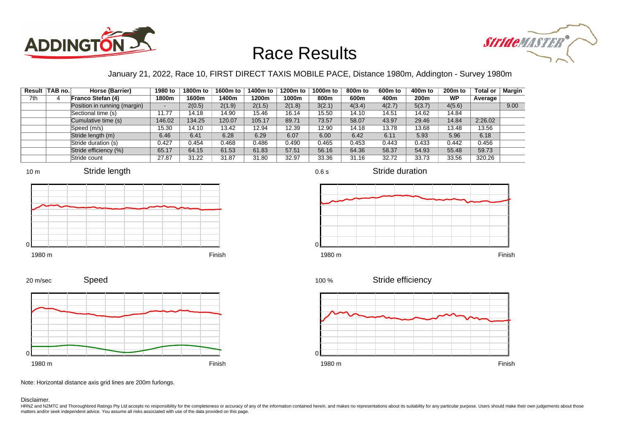



### January 21, 2022, Race 10, FIRST DIRECT TAXIS MOBILE PACE, Distance 1980m, Addington - Survey 1980m

| Result | TAB no. | Horse (Barrier)              | 1980 to                  | 1800m to | 1600m to | 1400m to | 1200m to | 1000m to | 800m to | 600 <sub>m</sub> to | 400m to | 200 <sub>m</sub> to | <b>Total or</b> | Margin |
|--------|---------|------------------------------|--------------------------|----------|----------|----------|----------|----------|---------|---------------------|---------|---------------------|-----------------|--------|
| 7th    |         | Franco Stefan (4)            | 1800m                    | 1600m    | 1400m    | 1200m    | 1000m    | 800m     | 600m    | 400m                | 200m    | <b>WP</b>           | Average         |        |
|        |         | Position in running (margin) | $\overline{\phantom{a}}$ | 2(0.5)   | 2(1.9)   | 2(1.5)   | 2(1.8)   | 3(2.1)   | 4(3.4)  | 4(2.7)              | 5(3.7)  | 4(5.6)              |                 | 9.00   |
|        |         | Sectional time (s)           | 11.77                    | 14.18    | 14.90    | 15.46    | 16.14    | 15.50    | 14.10   | 14.51               | 14.62   | 14.84               |                 |        |
|        |         | Cumulative time (s)          | 146.02                   | 134.25   | 120.07   | 105.17   | 89.71    | 73.57    | 58.07   | 43.97               | 29.46   | 14.84               | 2:26.02         |        |
|        |         | Speed (m/s)                  | 15.30                    | 14.10    | 13.42    | 12.94    | 12.39    | 12.90    | 14.18   | 13.78               | 13.68   | 13.48               | 13.56           |        |
|        |         | Stride length (m)            | 6.46                     | 6.41     | 6.28     | 6.29     | 6.07     | 6.00     | 6.42    | 6.11                | 5.93    | 5.96                | 6.18            |        |
|        |         | Stride duration (s)          | 0.427                    | 0.454    | 0.468    | 0.486    | 0.490    | 0.465    | 0.453   | 0.443               | 0.433   | 0.442               | 0.456           |        |
|        |         | Stride efficiency (%)        | 65.17                    | 64.15    | 61.53    | 61.83    | 57.51    | 56.16    | 64.36   | 58.37               | 54.93   | 55.48               | 59.73           |        |
|        |         | Stride count                 | 27.87                    | 31.22    | 31.87    | 31.80    | 32.97    | 33.36    | 31.16   | 32.72               | 33.73   | 33.56               | 320.26          |        |







Stride duration











Note: Horizontal distance axis grid lines are 200m furlongs.

Disclaimer.

20 m/sec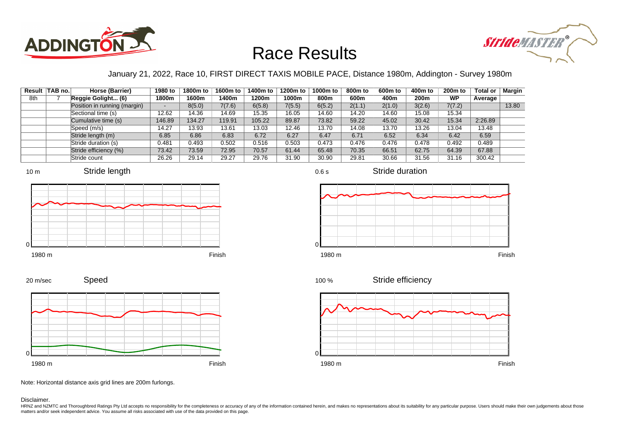



### January 21, 2022, Race 10, FIRST DIRECT TAXIS MOBILE PACE, Distance 1980m, Addington - Survey 1980m

0.6 s

|     | Result TAB no. | Horse (Barrier)              | 1980 to | 1800m to | 1600m to | 1400m to | 1200m to | 1000m to | 800 <sub>m</sub> to | 600m to | 400m to | 200 <sub>m</sub> to | <b>Total or</b> | Margin |
|-----|----------------|------------------------------|---------|----------|----------|----------|----------|----------|---------------------|---------|---------|---------------------|-----------------|--------|
| 8th |                | Reggie Golight (6)           | 1800m   | 1600m    | 1400m    | 1200m    | 1000m    | 800m     | 600m                | 400m    | 200m    | <b>WP</b>           | Average         |        |
|     |                | Position in running (margin) | -       | 8(5.0)   | 7(7.6)   | 6(5.8)   | 7(5.5)   | 6(5.2)   | 2(1.1)              | 2(1.0)  | 3(2.6)  | 7(7.2)              |                 | 13.80  |
|     |                | Sectional time (s)           | 12.62   | 14.36    | 14.69    | 15.35    | 16.05    | 14.60    | 14.20               | 14.60   | 15.08   | 15.34               |                 |        |
|     |                | Cumulative time (s)          | 146.89  | 134.27   | 119.91   | 105.22   | 89.87    | 73.82    | 59.22               | 45.02   | 30.42   | 15.34               | 2:26.89         |        |
|     |                | Speed (m/s)                  | 14.27   | 13.93    | 13.61    | 13.03    | 12.46    | 13.70    | 14.08               | 13.70   | 13.26   | 13.04               | 13.48           |        |
|     |                | Stride length (m)            | 6.85    | 6.86     | 6.83     | 6.72     | 6.27     | 6.47     | 6.71                | 6.52    | 6.34    | 6.42                | 6.59            |        |
|     |                | Stride duration (s)          | 0.481   | 0.493    | 0.502    | 0.516    | 0.503    | 0.473    | 0.476               | 0.476   | 0.478   | 0.492               | 0.489           |        |
|     |                | Stride efficiency (%)        | 73.42   | 73.59    | 72.95    | 70.57    | 61.44    | 65.48    | 70.35               | 66.51   | 62.75   | 64.39               | 67.88           |        |
|     |                | Stride count                 | 26.26   | 29.14    | 29.27    | 29.76    | 31.90    | 30.90    | 29.81               | 30.66   | 31.56   | 31.16               | 300.42          |        |



















Note: Horizontal distance axis grid lines are 200m furlongs.

#### Disclaimer.